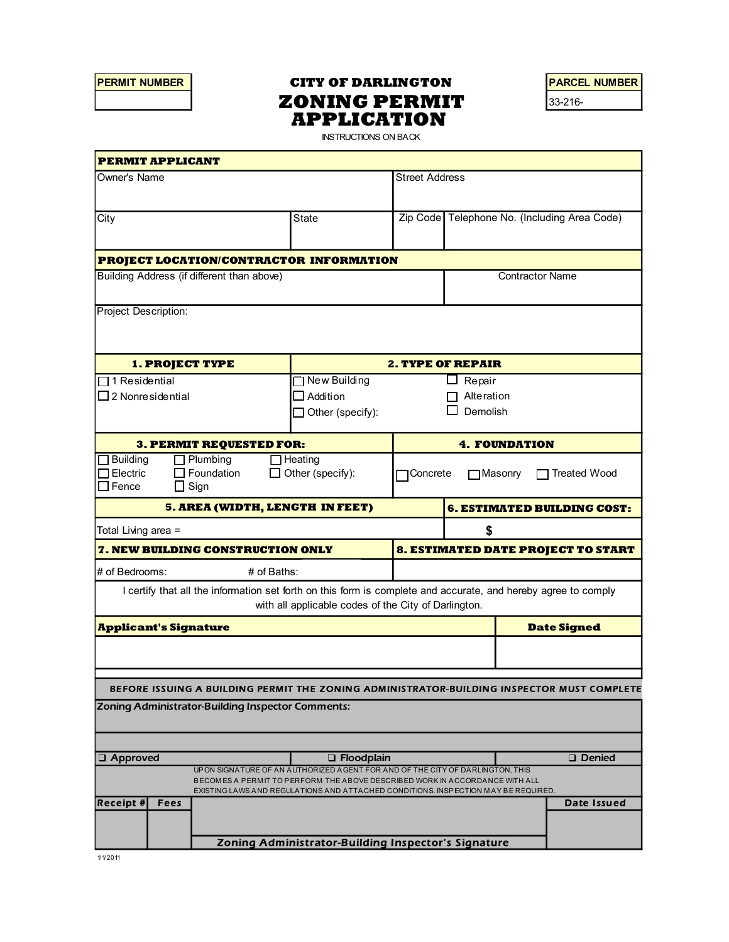# PERMIT NUMBER | CITY OF DARLINGTON | PARCEL NUMBER **ZONING PERMIT**  $33-216$ -APPLICATION

| <b>PERMIT NUMBER</b>                               |      |                                                     | <b>CITY OF DARLINGTON</b>                                                                                                                                              |                        |                |                                      | <b>PARCEL NUMBER</b>                         |
|----------------------------------------------------|------|-----------------------------------------------------|------------------------------------------------------------------------------------------------------------------------------------------------------------------------|------------------------|----------------|--------------------------------------|----------------------------------------------|
|                                                    |      |                                                     | <b>ZONING PERMIT</b>                                                                                                                                                   |                        |                |                                      | 33-216-                                      |
|                                                    |      |                                                     | <b>APPLICATION</b>                                                                                                                                                     |                        |                |                                      |                                              |
|                                                    |      |                                                     | <b>INSTRUCTIONS ON BACK</b>                                                                                                                                            |                        |                |                                      |                                              |
| <b>PERMIT APPLICANT</b>                            |      |                                                     |                                                                                                                                                                        |                        |                |                                      |                                              |
| Owner's Name                                       |      |                                                     |                                                                                                                                                                        | <b>Street Address</b>  |                |                                      |                                              |
| City                                               |      |                                                     | State                                                                                                                                                                  |                        |                |                                      | Zip Code Telephone No. (Including Area Code) |
|                                                    |      |                                                     | PROJECT LOCATION/CONTRACTOR INFORMATION                                                                                                                                |                        |                |                                      |                                              |
| Building Address (if different than above)         |      |                                                     |                                                                                                                                                                        | <b>Contractor Name</b> |                |                                      |                                              |
| Project Description:                               |      |                                                     |                                                                                                                                                                        |                        |                |                                      |                                              |
|                                                    |      |                                                     |                                                                                                                                                                        |                        |                |                                      |                                              |
| <b>1. PROJECT TYPE</b>                             |      |                                                     | <b>2. TYPE OF REPAIR</b>                                                                                                                                               |                        |                |                                      |                                              |
| 1 Residential                                      |      |                                                     | New Building                                                                                                                                                           | $\Box$ Repair          |                |                                      |                                              |
| $\Box$ 2 Nonresidential                            |      |                                                     | $\Box$ Addition                                                                                                                                                        |                        |                | $\Box$ Alteration<br>$\Box$ Demolish |                                              |
|                                                    |      |                                                     | $\Box$ Other (specify):                                                                                                                                                |                        |                |                                      |                                              |
|                                                    |      | 3. PERMIT REQUESTED FOR:                            |                                                                                                                                                                        | <b>4. FOUNDATION</b>   |                |                                      |                                              |
| $\Box$ Building<br>$\Box$ Electric<br>$\Box$ Fence |      | $\Box$ Plumbing<br>$\Box$ Foundation<br>$\Box$ Sign | $\Box$ Heating<br>$\Box$ Other (specify):                                                                                                                              | I⊟Concrete             | $\Box$ Masonry |                                      | □ Treated Wood                               |
|                                                    |      | <b>5. AREA (WIDTH, LENGTH IN FEET)</b>              |                                                                                                                                                                        |                        |                |                                      | <b>6. ESTIMATED BUILDING COST:</b>           |
| Total Living area =                                |      |                                                     |                                                                                                                                                                        |                        | \$             |                                      |                                              |
|                                                    |      | <b>7. NEW BUILDING CONSTRUCTION ONLY</b>            |                                                                                                                                                                        |                        |                |                                      | 8. ESTIMATED DATE PROJECT TO START           |
| # of Bedrooms:                                     |      | # of Baths:                                         |                                                                                                                                                                        |                        |                |                                      |                                              |
|                                                    |      |                                                     | I certify that all the information set forth on this form is complete and accurate, and hereby agree to comply<br>with all applicable codes of the City of Darlington. |                        |                |                                      |                                              |
| <b>Applicant's Signature</b>                       |      |                                                     |                                                                                                                                                                        |                        |                |                                      | <b>Date Signed</b>                           |
|                                                    |      |                                                     |                                                                                                                                                                        |                        |                |                                      |                                              |
|                                                    |      |                                                     |                                                                                                                                                                        |                        |                |                                      |                                              |
|                                                    |      |                                                     | BEFORE ISSUING A BUILDING PERMIT THE ZONING ADMINISTRATOR-BUILDING INSPECTOR MUST COMPLETE                                                                             |                        |                |                                      |                                              |
|                                                    |      | Zoning Administrator-Building Inspector Comments:   |                                                                                                                                                                        |                        |                |                                      |                                              |
|                                                    |      |                                                     |                                                                                                                                                                        |                        |                |                                      |                                              |
| <b>Q</b> Approved                                  |      |                                                     | $\Box$ Floodplain                                                                                                                                                      |                        |                |                                      | <b>Denied</b>                                |
|                                                    |      |                                                     | UPON SIGNATURE OF AN AUTHORIZED AGENT FOR AND OF THE CITY OF DARLINGTON, THIS                                                                                          |                        |                |                                      |                                              |
|                                                    |      |                                                     | BECOMES A PERMIT TO PERFORM THE ABOVE DESCRIBED WORK IN ACCORDANCE WITH ALL<br>EXISTING LAWS AND REGULATIONS AND ATTACHED CONDITIONS. INSPECTION MAY BE REQUIRED.      |                        |                |                                      |                                              |
| <b>Receipt #</b>                                   | Fees |                                                     |                                                                                                                                                                        |                        |                |                                      | Date Issued                                  |
|                                                    |      |                                                     |                                                                                                                                                                        |                        |                |                                      |                                              |
|                                                    |      |                                                     | Zoning Administrator-Building Inspector's Signature                                                                                                                    |                        |                |                                      |                                              |
| 1/1/2011                                           |      |                                                     |                                                                                                                                                                        |                        |                |                                      |                                              |
|                                                    |      |                                                     |                                                                                                                                                                        |                        |                |                                      |                                              |